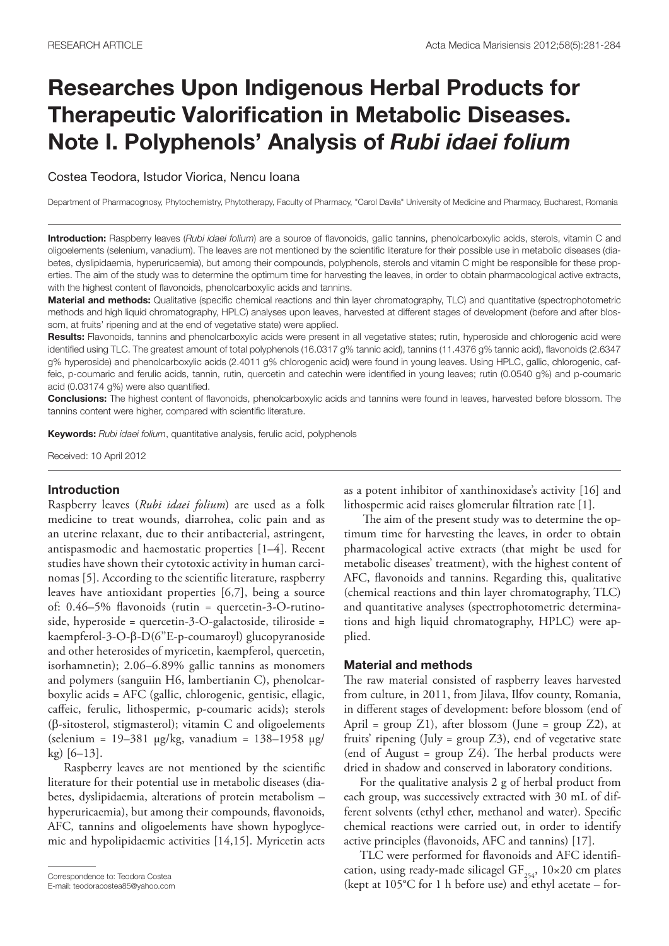# Researches Upon Indigenous Herbal Products for Therapeutic Valorification in Metabolic Diseases. Note I. Polyphenols' Analysis of *Rubi idaei folium*

Costea Teodora, Istudor Viorica, Nencu Ioana

Department of Pharmacognosy, Phytochemistry, Phytotherapy, Faculty of Pharmacy, "Carol Davila" University of Medicine and Pharmacy, Bucharest, Romania

Introduction: Raspberry leaves (*Rubi idaei folium*) are a source of flavonoids, gallic tannins, phenolcarboxylic acids, sterols, vitamin C and oligoelements (selenium, vanadium). The leaves are not mentioned by the scientific literature for their possible use in metabolic diseases (diabetes, dyslipidaemia, hyperuricaemia), but among their compounds, polyphenols, sterols and vitamin C might be responsible for these properties. The aim of the study was to determine the optimum time for harvesting the leaves, in order to obtain pharmacological active extracts, with the highest content of flavonoids, phenolcarboxylic acids and tannins.

Material and methods: Qualitative (specific chemical reactions and thin layer chromatography, TLC) and quantitative (spectrophotometric methods and high liquid chromatography, HPLC) analyses upon leaves, harvested at different stages of development (before and after blossom, at fruits' ripening and at the end of vegetative state) were applied.

Results: Flavonoids, tannins and phenolcarboxylic acids were present in all vegetative states; rutin, hyperoside and chlorogenic acid were identified using TLC. The greatest amount of total polyphenols (16.0317 g% tannic acid), tannins (11.4376 g% tannic acid), flavonoids (2.6347 g% hyperoside) and phenolcarboxylic acids (2.4011 g% chlorogenic acid) were found in young leaves. Using HPLC, gallic, chlorogenic, caffeic, p-coumaric and ferulic acids, tannin, rutin, quercetin and catechin were identified in young leaves; rutin (0.0540 g%) and p-coumaric acid (0.03174 g%) were also quantified.

Conclusions: The highest content of flavonoids, phenolcarboxylic acids and tannins were found in leaves, harvested before blossom. The tannins content were higher, compared with scientific literature.

Keywords: *Rubi idaei folium*, quantitative analysis, ferulic acid, polyphenols

Received: 10 April 2012

## Introduction

Raspberry leaves (*Rubi idaei folium*) are used as a folk medicine to treat wounds, diarrohea, colic pain and as an uterine relaxant, due to their antibacterial, astringent, antispasmodic and haemostatic properties [1–4]. Recent studies have shown their cytotoxic activity in human carcinomas [5]. According to the scientific literature, raspberry leaves have antioxidant properties [6,7], being a source of: 0.46–5% flavonoids (rutin = quercetin-3-O-rutinoside, hyperoside = quercetin-3-O-galactoside, tiliroside = kaempferol-3-O-β-D(6''E-p-coumaroyl) glucopyranoside and other heterosides of myricetin, kaempferol, quercetin, isorhamnetin); 2.06–6.89% gallic tannins as monomers and polymers (sanguiin H6, lambertianin C), phenolcarboxylic acids = AFC (gallic, chlorogenic, gentisic, ellagic, caffeic, ferulic, lithospermic, p-coumaric acids); sterols (β-sitosterol, stigmasterol); vitamin C and oligoelements (selenium = 19–381 μg/kg, vanadium = 138–1958 μg/ kg) [6–13].

Raspberry leaves are not mentioned by the scientific literature for their potential use in metabolic diseases (diabetes, dyslipidaemia, alterations of protein metabolism – hyperuricaemia), but among their compounds, flavonoids, AFC, tannins and oligoelements have shown hypoglycemic and hypolipidaemic activities [14,15]. Myricetin acts

as a potent inhibitor of xanthinoxidase's activity [16] and lithospermic acid raises glomerular filtration rate [1].

 The aim of the present study was to determine the optimum time for harvesting the leaves, in order to obtain pharmacological active extracts (that might be used for metabolic diseases' treatment), with the highest content of AFC, flavonoids and tannins. Regarding this, qualitative (chemical reactions and thin layer chromatography, TLC) and quantitative analyses (spectrophotometric determinations and high liquid chromatography, HPLC) were applied.

#### Material and methods

The raw material consisted of raspberry leaves harvested from culture, in 2011, from Jilava, Ilfov county, Romania, in different stages of development: before blossom (end of April = group  $Z_1$ ), after blossom (June = group  $Z_2$ ), at fruits' ripening (July = group Z3), end of vegetative state (end of August = group Z4). The herbal products were dried in shadow and conserved in laboratory conditions.

For the qualitative analysis 2 g of herbal product from each group, was successively extracted with 30 mL of different solvents (ethyl ether, methanol and water). Specific chemical reactions were carried out, in order to identify active principles (flavonoids, AFC and tannins) [17].

TLC were performed for flavonoids and AFC identification, using ready-made silicagel GF $_{254}$ , 10×20 cm plates Correspondence to: Teodora Costea<br>
E-mail: teodoracostea85@yahoo.com (kept at 105°C for 1 h before use) and ethyl acetate – for-<br>
CallOII, using ready-inade sincager Gr<sub>254</sub>, 10x20 cm plates

E-mail: teodoracostea85@yahoo.com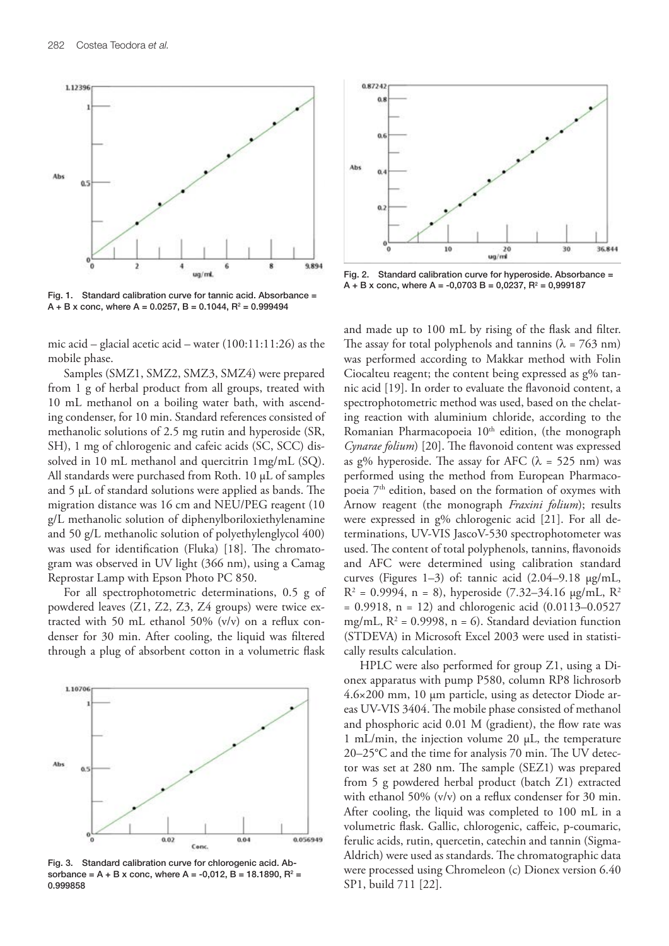

Fig. 1. Standard calibration curve for tannic acid. Absorbance =  $\mathsf{A} + \mathsf{B}$  x conc, where  $\mathsf{A}$  = 0.0257,  $\mathsf{B}$  = 0.1044,  $\mathsf{R}^2$  = 0.999494

mic acid – glacial acetic acid – water (100:11:11:26) as the mobile phase.

Samples (SMZ1, SMZ2, SMZ3, SMZ4) were prepared from 1 g of herbal product from all groups, treated with 10 mL methanol on a boiling water bath, with ascending condenser, for 10 min. Standard references consisted of methanolic solutions of 2.5 mg rutin and hyperoside (SR, SH), 1 mg of chlorogenic and cafeic acids (SC, SCC) dissolved in 10 mL methanol and quercitrin 1mg/mL (SQ). All standards were purchased from Roth. 10 μL of samples and 5 μL of standard solutions were applied as bands. The migration distance was 16 cm and NEU/PEG reagent (10 g/L methanolic solution of diphenylboriloxiethylenamine and 50 g/L methanolic solution of polyethylenglycol 400) was used for identification (Fluka) [18]. The chromatogram was observed in UV light (366 nm), using a Camag Reprostar Lamp with Epson Photo PC 850.

For all spectrophotometric determinations, 0.5 g of powdered leaves (Z1, Z2, Z3, Z4 groups) were twice extracted with 50 mL ethanol 50% (v/v) on a reflux condenser for 30 min. After cooling, the liquid was filtered through a plug of absorbent cotton in a volumetric flask



Fig. 3. Standard calibration curve for chlorogenic acid. Absorbance = A + B x conc, where A = -0,012, B = 18.1890,  $R^2$  = 0.999858



Fig. 2. Standard calibration curve for hyperoside. Absorbance =  $A + B x$  conc, where  $A = -0.0703 B = 0.0237$ ,  $R^2 = 0.999187$ 

and made up to 100 mL by rising of the flask and filter. The assay for total polyphenols and tannins ( $\lambda = 763$  nm) was performed according to Makkar method with Folin Ciocalteu reagent; the content being expressed as g% tannic acid [19]. In order to evaluate the flavonoid content, a spectrophotometric method was used, based on the chelating reaction with aluminium chloride, according to the Romanian Pharmacopoeia  $10<sup>th</sup>$  edition, (the monograph *Cynarae folium*) [20]. The flavonoid content was expressed as g% hyperoside. The assay for AFC ( $\lambda$  = 525 nm) was performed using the method from European Pharmacopoeia 7<sup>th</sup> edition, based on the formation of oxymes with Arnow reagent (the monograph *Fraxini folium*); results were expressed in g% chlorogenic acid [21]. For all determinations, UV-VIS JascoV-530 spectrophotometer was used. The content of total polyphenols, tannins, flavonoids and AFC were determined using calibration standard curves (Figures 1–3) of: tannic acid (2.04–9.18 μg/mL,  $R^2 = 0.9994$ , n = 8), hyperoside (7.32–34.16 µg/mL,  $R^2$  $= 0.9918$ , n = 12) and chlorogenic acid  $(0.0113 - 0.0527)$ mg/mL,  $R^2 = 0.9998$ , n = 6). Standard deviation function (STDEVA) in Microsoft Excel 2003 were used in statistically results calculation.

HPLC were also performed for group Z1, using a Dionex apparatus with pump P580, column RP8 lichrosorb 4.6×200 mm, 10 μm particle, using as detector Diode areas UV-VIS 3404. The mobile phase consisted of methanol and phosphoric acid 0.01 M (gradient), the flow rate was 1 mL/min, the injection volume 20 μL, the temperature 20–25°C and the time for analysis 70 min. The UV detector was set at 280 nm. The sample (SEZ1) was prepared from 5 g powdered herbal product (batch Z1) extracted with ethanol 50% (v/v) on a reflux condenser for 30 min. After cooling, the liquid was completed to 100 mL in a volumetric flask. Gallic, chlorogenic, caffeic, p-coumaric, ferulic acids, rutin, quercetin, catechin and tannin (Sigma-Aldrich) were used as standards. The chromatographic data were processed using Chromeleon (c) Dionex version 6.40 SP1, build 711 [22].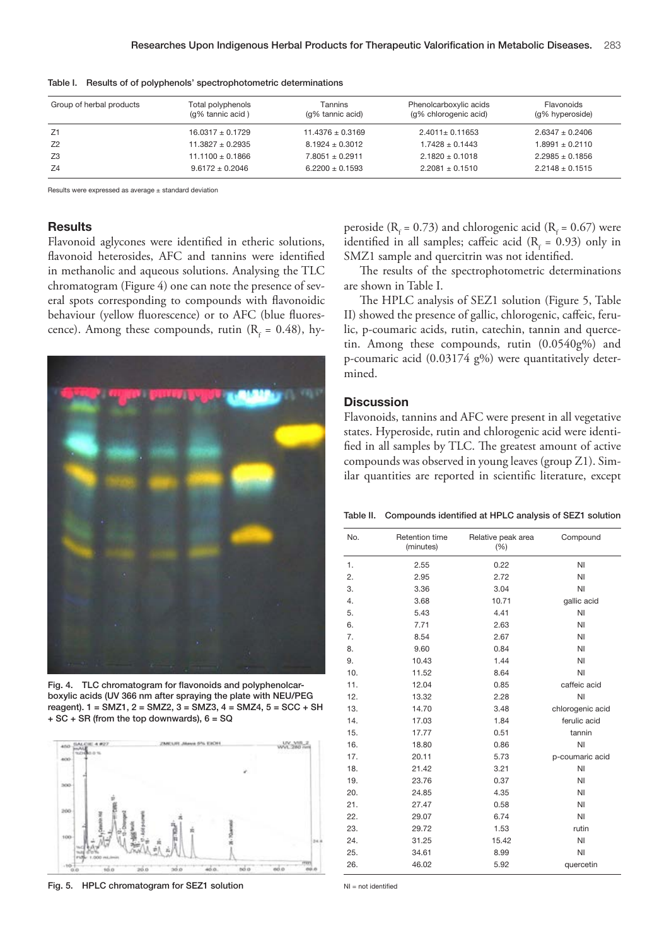| Group of herbal products | Total polyphenols<br>(q% tannic acid) | Tannins<br>(q% tannic acid) | Phenolcarboxylic acids<br>(q% chlorogenic acid) | Flavonoids<br>(g% hyperoside) |
|--------------------------|---------------------------------------|-----------------------------|-------------------------------------------------|-------------------------------|
| Z1                       | $16.0317 + 0.1729$                    | $11.4376 + 0.3169$          | $2.4011 + 0.11653$                              | $2.6347 + 0.2406$             |
| Z <sub>2</sub>           | $11.3827 + 0.2935$                    | $8.1924 + 0.3012$           | $1.7428 + 0.1443$                               | $1.8991 + 0.2110$             |
| Z3                       | $11.1100 + 0.1866$                    | $7.8051 + 0.2911$           | $2.1820 + 0.1018$                               | $2.2985 + 0.1856$             |
| Z4                       | $9.6172 + 0.2046$                     | $6.2200 + 0.1593$           | $2.2081 \pm 0.1510$                             | $2.2148 \pm 0.1515$           |

Table I. Results of of polyphenols' spectrophotometric determinations

Results were expressed as average ± standard deviation

## **Results**

Flavonoid aglycones were identified in etheric solutions, flavonoid heterosides, AFC and tannins were identified in methanolic and aqueous solutions. Analysing the TLC chromatogram (Figure 4) one can note the presence of several spots corresponding to compounds with flavonoidic behaviour (yellow fluorescence) or to AFC (blue fluorescence). Among these compounds, rutin ( $R_f = 0.48$ ), hy-



Fig. 4. TLC chromatogram for flavonoids and polyphenolcarboxylic acids (UV 366 nm after spraying the plate with NEU/PEG reagent). 1 = SMZ1, 2 = SMZ2, 3 = SMZ3, 4 = SMZ4, 5 = SCC + SH  $+ SC + SR$  (from the top downwards),  $6 = SQ$ 



Fig. 5. HPLC chromatogram for SEZ1 solution

peroside ( $R_f = 0.73$ ) and chlorogenic acid ( $R_f = 0.67$ ) were identified in all samples; caffeic acid ( $R_f = 0.93$ ) only in SMZ1 sample and quercitrin was not identified.

The results of the spectrophotometric determinations are shown in Table I.

The HPLC analysis of SEZ1 solution (Figure 5, Table II) showed the presence of gallic, chlorogenic, caffeic, ferulic, p-coumaric acids, rutin, catechin, tannin and quercetin. Among these compounds, rutin (0.0540g%) and p-coumaric acid (0.03174 g%) were quantitatively determined.

## **Discussion**

Flavonoids, tannins and AFC were present in all vegetative states. Hyperoside, rutin and chlorogenic acid were identified in all samples by TLC. The greatest amount of active compounds was observed in young leaves (group Z1). Similar quantities are reported in scientific literature, except

Table II. Compounds identified at HPLC analysis of SEZ1 solution

| No. | Retention time<br>(minutes) | Relative peak area<br>(% ) | Compound         |
|-----|-----------------------------|----------------------------|------------------|
| 1.  | 2.55                        | 0.22                       | NI               |
| 2.  | 2.95                        | 2.72                       | NI               |
| 3.  | 3.36                        | 3.04                       | NI               |
| 4.  | 3.68                        | 10.71                      | gallic acid      |
| 5.  | 5.43                        | 4.41                       | NI               |
| 6.  | 7.71                        | 2.63                       | NI               |
| 7.  | 8.54                        | 2.67                       | ΝI               |
| 8.  | 9.60                        | 0.84                       | NI               |
| 9.  | 10.43                       | 1.44                       | NI               |
| 10. | 11.52                       | 8.64                       | NI               |
| 11. | 12.04                       | 0.85                       | caffeic acid     |
| 12. | 13.32                       | 2.28                       | NI               |
| 13. | 14.70                       | 3.48                       | chlorogenic acid |
| 14. | 17.03                       | 1.84                       | ferulic acid     |
| 15. | 17.77                       | 0.51                       | tannin           |
| 16. | 18.80                       | 0.86                       | NI               |
| 17. | 20.11                       | 5.73                       | p-coumaric acid  |
| 18. | 21.42                       | 3.21                       | NI               |
| 19. | 23.76                       | 0.37                       | ΝI               |
| 20. | 24.85                       | 4.35                       | ΝI               |
| 21. | 27.47                       | 0.58                       | ΝI               |
| 22. | 29.07                       | 6.74                       | NI               |
| 23. | 29.72                       | 1.53                       | rutin            |
| 24. | 31.25                       | 15.42                      | NI               |
| 25. | 34.61                       | 8.99                       | NI               |
| 26. | 46.02                       | 5.92                       | quercetin        |

 $NI = not$  identified